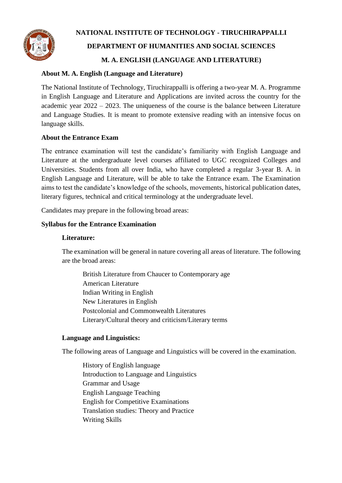

# **NATIONAL INSTITUTE OF TECHNOLOGY - TIRUCHIRAPPALLI DEPARTMENT OF HUMANITIES AND SOCIAL SCIENCES M. A. ENGLISH (LANGUAGE AND LITERATURE)**

## **About M. A. English (Language and Literature)**

The National Institute of Technology, Tiruchirappalli is offering a two-year M. A. Programme in English Language and Literature and Applications are invited across the country for the academic year 2022 – 2023. The uniqueness of the course is the balance between Literature and Language Studies. It is meant to promote extensive reading with an intensive focus on language skills.

## **About the Entrance Exam**

The entrance examination will test the candidate's familiarity with English Language and Literature at the undergraduate level courses affiliated to UGC recognized Colleges and Universities. Students from all over India, who have completed a regular 3-year B. A. in English Language and Literature, will be able to take the Entrance exam. The Examination aims to test the candidate's knowledge of the schools, movements, historical publication dates, literary figures, technical and critical terminology at the undergraduate level.

Candidates may prepare in the following broad areas:

## **Syllabus for the Entrance Examination**

#### **Literature:**

The examination will be general in nature covering all areas of literature. The following are the broad areas:

British Literature from Chaucer to Contemporary age American Literature Indian Writing in English New Literatures in English Postcolonial and Commonwealth Literatures Literary/Cultural theory and criticism/Literary terms

## **Language and Linguistics:**

The following areas of Language and Linguistics will be covered in the examination.

History of English language Introduction to Language and Linguistics Grammar and Usage English Language Teaching English for Competitive Examinations Translation studies: Theory and Practice Writing Skills